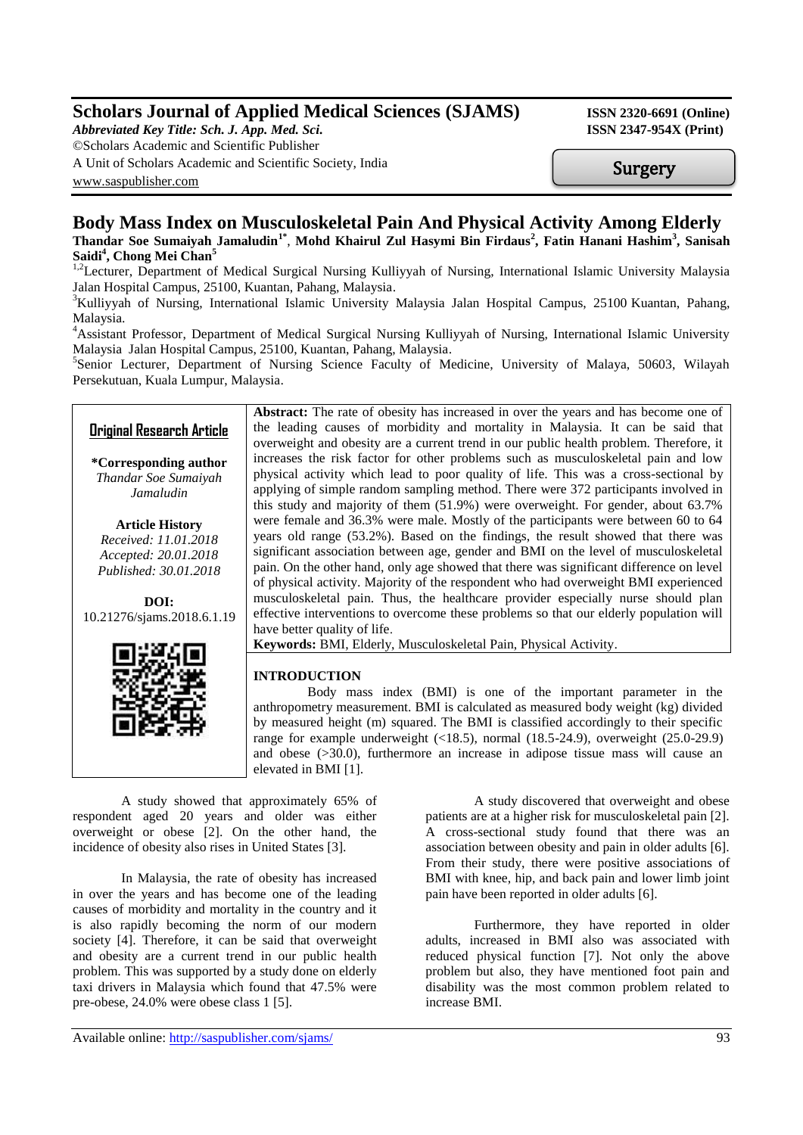# **Scholars Journal of Applied Medical Sciences (SJAMS) ISSN 2320-6691 (Online)**

*Abbreviated Key Title: Sch. J. App. Med. Sci.* **ISSN 2347-954X (Print)** 

©Scholars Academic and Scientific Publisher

A Unit of Scholars Academic and Scientific Society, India [www.saspublisher.com](http://www.saspublisher.com/)

Surgery

## **Body Mass Index on Musculoskeletal Pain And Physical Activity Among Elderly Thandar Soe Sumaiyah Jamaludin1\*** , **Mohd Khairul Zul Hasymi Bin Firdaus<sup>2</sup> , Fatin Hanani Hashim<sup>3</sup> , Sanisah Saidi<sup>4</sup> , Chong Mei Chan<sup>5</sup>**

<sup>1,2</sup>Lecturer, Department of Medical Surgical Nursing Kulliyyah of Nursing, International Islamic University Malaysia Jalan Hospital Campus, 25100, Kuantan, Pahang, Malaysia.

<sup>3</sup>Kulliyyah of Nursing, International Islamic University Malaysia Jalan Hospital Campus, 25100 Kuantan, Pahang, Malaysia.

<sup>4</sup>Assistant Professor, Department of Medical Surgical Nursing Kulliyyah of Nursing, International Islamic University Malaysia Jalan Hospital Campus, 25100, Kuantan, Pahang, Malaysia.

<sup>5</sup>Senior Lecturer, Department of Nursing Science Faculty of Medicine, University of Malaya, 50603, Wilayah Persekutuan, Kuala Lumpur, Malaysia.

## **Original Research Article**

**\*Corresponding author** *Thandar Soe Sumaiyah Jamaludin*

**Article History** *Received: 11.01.2018 Accepted: 20.01.2018 Published: 30.01.2018*

**DOI:** 10.21276/sjams.2018.6.1.19



Abstract: The rate of obesity has increased in over the years and has become one of the leading causes of morbidity and mortality in Malaysia. It can be said that overweight and obesity are a current trend in our public health problem. Therefore, it increases the risk factor for other problems such as musculoskeletal pain and low physical activity which lead to poor quality of life. This was a cross-sectional by applying of simple random sampling method. There were 372 participants involved in this study and majority of them (51.9%) were overweight. For gender, about 63.7% were female and 36.3% were male. Mostly of the participants were between 60 to 64 years old range (53.2%). Based on the findings, the result showed that there was significant association between age, gender and BMI on the level of musculoskeletal pain. On the other hand, only age showed that there was significant difference on level of physical activity. Majority of the respondent who had overweight BMI experienced musculoskeletal pain. Thus, the healthcare provider especially nurse should plan effective interventions to overcome these problems so that our elderly population will have better quality of life.

**Keywords:** BMI, Elderly, Musculoskeletal Pain, Physical Activity.

## **INTRODUCTION**

 Body mass index (BMI) is one of the important parameter in the anthropometry measurement. BMI is calculated as measured body weight (kg) divided by measured height (m) squared. The BMI is classified accordingly to their specific range for example underweight  $(\langle 18.5 \rangle)$ , normal  $(18.5-24.9)$ , overweight  $(25.0-29.9)$ and obese (>30.0), furthermore an increase in adipose tissue mass will cause an elevated in BMI [1].

A study showed that approximately 65% of respondent aged 20 years and older was either overweight or obese [2]. On the other hand, the incidence of obesity also rises in United States [3].

In Malaysia, the rate of obesity has increased in over the years and has become one of the leading causes of morbidity and mortality in the country and it is also rapidly becoming the norm of our modern society [4]. Therefore, it can be said that overweight and obesity are a current trend in our public health problem. This was supported by a study done on elderly taxi drivers in Malaysia which found that 47.5% were pre-obese, 24.0% were obese class 1 [5].

A study discovered that overweight and obese patients are at a higher risk for musculoskeletal pain [2]. A cross-sectional study found that there was an association between obesity and pain in older adults [6]. From their study, there were positive associations of BMI with knee, hip, and back pain and lower limb joint pain have been reported in older adults [6].

Furthermore, they have reported in older adults, increased in BMI also was associated with reduced physical function [7]. Not only the above problem but also, they have mentioned foot pain and disability was the most common problem related to increase BMI.

Available online: <http://saspublisher.com/sjams/> 93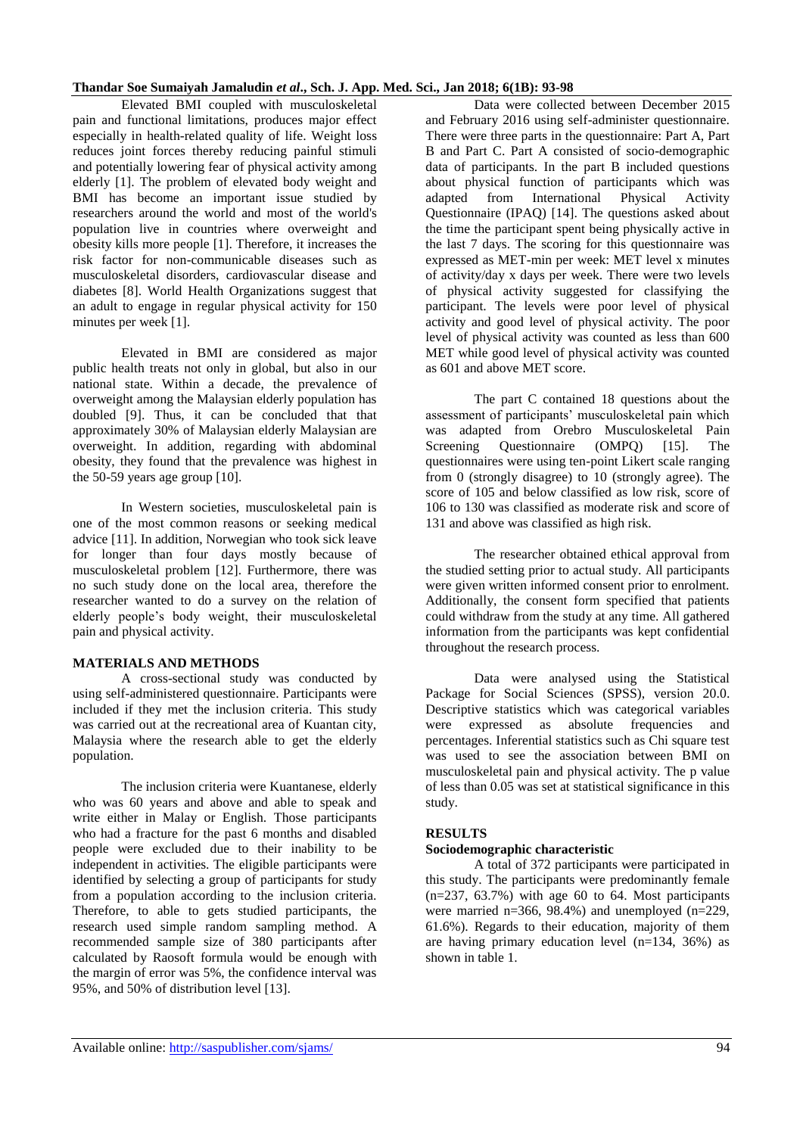#### **Thandar Soe Sumaiyah Jamaludin** *et al***., Sch. J. App. Med. Sci., Jan 2018; 6(1B): 93-98**

Elevated BMI coupled with musculoskeletal pain and functional limitations, produces major effect especially in health-related quality of life. Weight loss reduces joint forces thereby reducing painful stimuli and potentially lowering fear of physical activity among elderly [1]. The problem of elevated body weight and BMI has become an important issue studied by researchers around the world and most of the world's population live in countries where overweight and obesity kills more people [1]. Therefore, it increases the risk factor for non-communicable diseases such as musculoskeletal disorders, cardiovascular disease and diabetes [8]. World Health Organizations suggest that an adult to engage in regular physical activity for 150 minutes per week [1].

Elevated in BMI are considered as major public health treats not only in global, but also in our national state. Within a decade, the prevalence of overweight among the Malaysian elderly population has doubled [9]. Thus, it can be concluded that that approximately 30% of Malaysian elderly Malaysian are overweight. In addition, regarding with abdominal obesity, they found that the prevalence was highest in the 50-59 years age group [10].

In Western societies, musculoskeletal pain is one of the most common reasons or seeking medical advice [11]. In addition, Norwegian who took sick leave for longer than four days mostly because of musculoskeletal problem [12]. Furthermore, there was no such study done on the local area, therefore the researcher wanted to do a survey on the relation of elderly people's body weight, their musculoskeletal pain and physical activity.

#### **MATERIALS AND METHODS**

A cross-sectional study was conducted by using self-administered questionnaire. Participants were included if they met the inclusion criteria. This study was carried out at the recreational area of Kuantan city, Malaysia where the research able to get the elderly population.

The inclusion criteria were Kuantanese, elderly who was 60 years and above and able to speak and write either in Malay or English. Those participants who had a fracture for the past 6 months and disabled people were excluded due to their inability to be independent in activities. The eligible participants were identified by selecting a group of participants for study from a population according to the inclusion criteria. Therefore, to able to gets studied participants, the research used simple random sampling method. A recommended sample size of 380 participants after calculated by Raosoft formula would be enough with the margin of error was 5%, the confidence interval was 95%, and 50% of distribution level [13].

Data were collected between December 2015 and February 2016 using self-administer questionnaire. There were three parts in the questionnaire: Part A, Part B and Part C. Part A consisted of socio-demographic data of participants. In the part B included questions about physical function of participants which was adapted from International Physical Activity Questionnaire (IPAQ) [14]. The questions asked about the time the participant spent being physically active in the last 7 days. The scoring for this questionnaire was expressed as MET-min per week: MET level x minutes of activity/day x days per week. There were two levels of physical activity suggested for classifying the participant. The levels were poor level of physical activity and good level of physical activity. The poor level of physical activity was counted as less than 600 MET while good level of physical activity was counted as 601 and above MET score.

The part C contained 18 questions about the assessment of participants' musculoskeletal pain which was adapted from Orebro Musculoskeletal Pain Screening Questionnaire (OMPQ) [15]. The questionnaires were using ten-point Likert scale ranging from 0 (strongly disagree) to 10 (strongly agree). The score of 105 and below classified as low risk, score of 106 to 130 was classified as moderate risk and score of 131 and above was classified as high risk.

The researcher obtained ethical approval from the studied setting prior to actual study. All participants were given written informed consent prior to enrolment. Additionally, the consent form specified that patients could withdraw from the study at any time. All gathered information from the participants was kept confidential throughout the research process.

Data were analysed using the Statistical Package for Social Sciences (SPSS), version 20.0. Descriptive statistics which was categorical variables were expressed as absolute frequencies and percentages. Inferential statistics such as Chi square test was used to see the association between BMI on musculoskeletal pain and physical activity. The p value of less than 0.05 was set at statistical significance in this study.

#### **RESULTS**

#### **Sociodemographic characteristic**

A total of 372 participants were participated in this study. The participants were predominantly female  $(n=237, 63.7%)$  with age 60 to 64. Most participants were married n=366, 98.4%) and unemployed (n=229, 61.6%). Regards to their education, majority of them are having primary education level (n=134, 36%) as shown in table 1.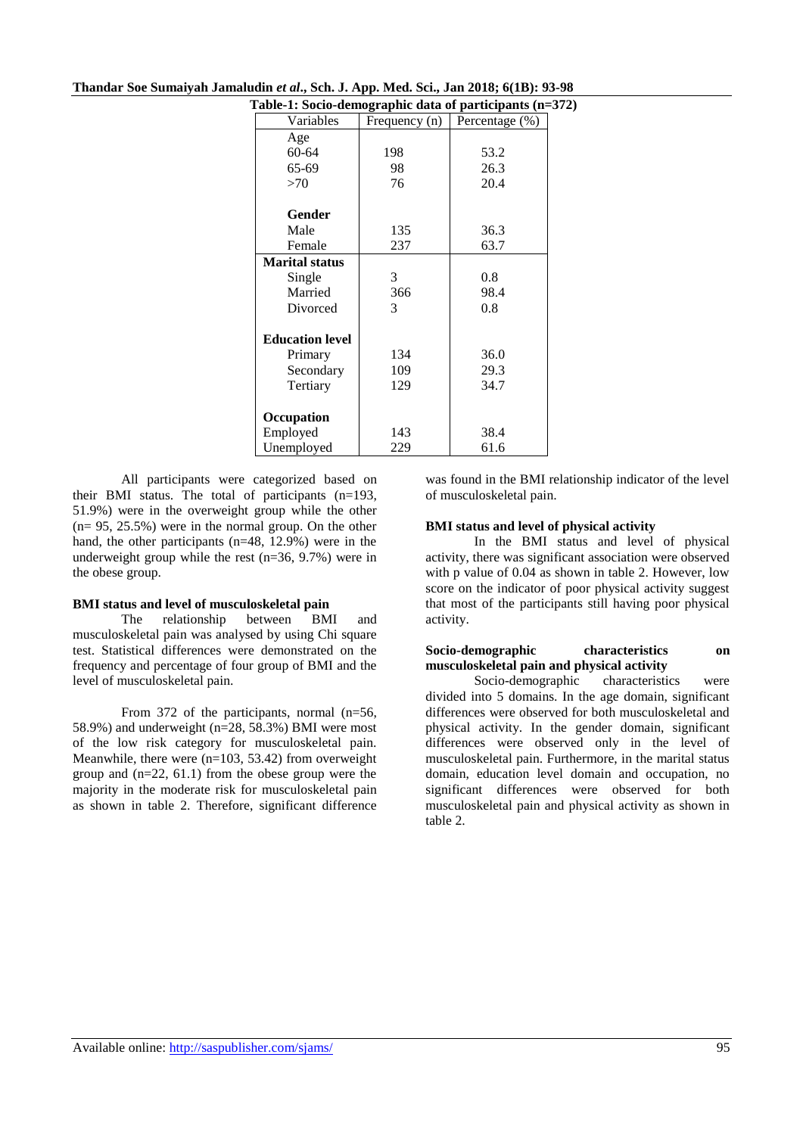| Table-1: Socio-demographic data of participants (n=372) |               |                |  |  |  |  |  |  |
|---------------------------------------------------------|---------------|----------------|--|--|--|--|--|--|
| Variables                                               | Frequency (n) | Percentage (%) |  |  |  |  |  |  |
| Age                                                     |               |                |  |  |  |  |  |  |
| 60-64                                                   | 198           | 53.2           |  |  |  |  |  |  |
| 65-69                                                   | 98            | 26.3           |  |  |  |  |  |  |
| >70                                                     | 76            | 20.4           |  |  |  |  |  |  |
| Gender                                                  |               |                |  |  |  |  |  |  |
| Male                                                    | 135           | 36.3           |  |  |  |  |  |  |
| Female                                                  | 237           | 63.7           |  |  |  |  |  |  |
| <b>Marital status</b>                                   |               |                |  |  |  |  |  |  |
| Single                                                  | 3             | 0.8            |  |  |  |  |  |  |
| Married                                                 | 366           | 98.4           |  |  |  |  |  |  |
| Divorced                                                | 3             | 0.8            |  |  |  |  |  |  |
| <b>Education level</b>                                  |               |                |  |  |  |  |  |  |
| Primary                                                 | 134           | 36.0           |  |  |  |  |  |  |
| Secondary                                               | 109           | 29.3           |  |  |  |  |  |  |
| Tertiary                                                | 129           | 34.7           |  |  |  |  |  |  |
| Occupation                                              |               |                |  |  |  |  |  |  |
| Employed                                                | 143           | 38.4           |  |  |  |  |  |  |
| Unemployed                                              | 229           | 61.6           |  |  |  |  |  |  |

| Thandar Soe Sumaiyah Jamaludin et al., Sch. J. App. Med. Sci., Jan 2018; 6(1B): 93-98 |
|---------------------------------------------------------------------------------------|
|---------------------------------------------------------------------------------------|

All participants were categorized based on their BMI status. The total of participants (n=193, 51.9%) were in the overweight group while the other (n= 95, 25.5%) were in the normal group. On the other hand, the other participants (n=48, 12.9%) were in the underweight group while the rest (n=36, 9.7%) were in the obese group.

#### **BMI status and level of musculoskeletal pain**

The relationship between BMI and musculoskeletal pain was analysed by using Chi square test. Statistical differences were demonstrated on the frequency and percentage of four group of BMI and the level of musculoskeletal pain.

From 372 of the participants, normal (n=56, 58.9%) and underweight (n=28, 58.3%) BMI were most of the low risk category for musculoskeletal pain. Meanwhile, there were (n=103, 53.42) from overweight group and  $(n=22, 61.1)$  from the obese group were the majority in the moderate risk for musculoskeletal pain as shown in table 2. Therefore, significant difference

was found in the BMI relationship indicator of the level of musculoskeletal pain.

#### **BMI status and level of physical activity**

In the BMI status and level of physical activity, there was significant association were observed with p value of 0.04 as shown in table 2. However, low score on the indicator of poor physical activity suggest that most of the participants still having poor physical activity.

#### **Socio-demographic characteristics on musculoskeletal pain and physical activity**

Socio-demographic characteristics were divided into 5 domains. In the age domain, significant differences were observed for both musculoskeletal and physical activity. In the gender domain, significant differences were observed only in the level of musculoskeletal pain. Furthermore, in the marital status domain, education level domain and occupation, no significant differences were observed for both musculoskeletal pain and physical activity as shown in table 2.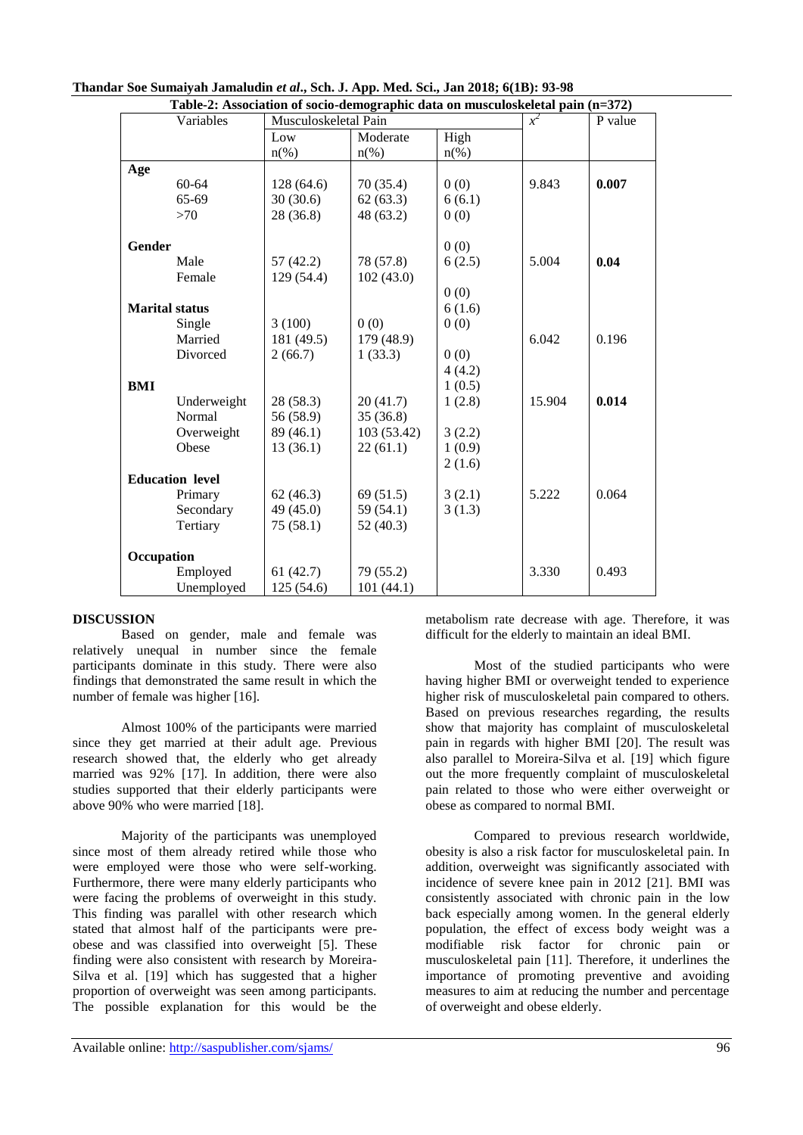|            | Table-2: Association of socio-demographic data on musculoskeletal pain (n=372) |                      |             |         |        |         |
|------------|--------------------------------------------------------------------------------|----------------------|-------------|---------|--------|---------|
|            | Variables                                                                      | Musculoskeletal Pain |             |         | $r^2$  | P value |
|            |                                                                                | Low                  | Moderate    | High    |        |         |
|            |                                                                                | $n(\%)$              | $n(\%)$     | $n(\%)$ |        |         |
| Age        |                                                                                |                      |             |         |        |         |
|            | $60 - 64$                                                                      | 128 (64.6)           | 70(35.4)    | 0(0)    | 9.843  | 0.007   |
|            | 65-69                                                                          | 30(30.6)             | 62(63.3)    | 6(6.1)  |        |         |
|            | >70                                                                            | 28 (36.8)            | 48 (63.2)   | 0(0)    |        |         |
| Gender     |                                                                                |                      |             | 0(0)    |        |         |
|            | Male                                                                           | 57(42.2)             | 78 (57.8)   | 6(2.5)  | 5.004  | 0.04    |
|            | Female                                                                         | 129 (54.4)           | 102(43.0)   |         |        |         |
|            |                                                                                |                      |             | 0(0)    |        |         |
|            | <b>Marital status</b>                                                          |                      |             | 6(1.6)  |        |         |
|            | Single                                                                         | 3(100)               | 0(0)        | 0(0)    |        |         |
|            | Married                                                                        | 181 (49.5)           | 179 (48.9)  |         | 6.042  | 0.196   |
|            | Divorced                                                                       | 2(66.7)              | 1(33.3)     | 0(0)    |        |         |
|            |                                                                                |                      |             | 4(4.2)  |        |         |
| <b>BMI</b> |                                                                                |                      |             | 1(0.5)  |        |         |
|            | Underweight                                                                    | 28 (58.3)            | 20(41.7)    | 1(2.8)  | 15.904 | 0.014   |
|            | Normal                                                                         | 56 (58.9)            | 35(36.8)    |         |        |         |
|            | Overweight                                                                     | 89 (46.1)            | 103 (53.42) | 3(2.2)  |        |         |
|            | Obese                                                                          | 13(36.1)             | 22(61.1)    | 1(0.9)  |        |         |
|            |                                                                                |                      |             | 2(1.6)  |        |         |
|            | <b>Education level</b>                                                         |                      |             |         |        |         |
|            | Primary                                                                        | 62(46.3)             | 69(51.5)    | 3(2.1)  | 5.222  | 0.064   |
|            | Secondary                                                                      | 49 (45.0)            | 59 (54.1)   | 3(1.3)  |        |         |
|            | Tertiary                                                                       | 75(58.1)             | 52 (40.3)   |         |        |         |
| Occupation |                                                                                |                      |             |         |        |         |
|            | Employed                                                                       | 61(42.7)             | 79 (55.2)   |         | 3.330  | 0.493   |
|            | Unemployed                                                                     | 125 (54.6)           | 101 (44.1)  |         |        |         |

| Thandar Soe Sumaiyah Jamaludin et al., Sch. J. App. Med. Sci., Jan 2018; 6(1B): 93-98 |  |
|---------------------------------------------------------------------------------------|--|
|---------------------------------------------------------------------------------------|--|

#### **DISCUSSION**

Based on gender, male and female was relatively unequal in number since the female participants dominate in this study. There were also findings that demonstrated the same result in which the number of female was higher [16].

Almost 100% of the participants were married since they get married at their adult age. Previous research showed that, the elderly who get already married was 92% [17]. In addition, there were also studies supported that their elderly participants were above 90% who were married [18].

Majority of the participants was unemployed since most of them already retired while those who were employed were those who were self-working. Furthermore, there were many elderly participants who were facing the problems of overweight in this study. This finding was parallel with other research which stated that almost half of the participants were preobese and was classified into overweight [5]. These finding were also consistent with research by Moreira-Silva et al. [19] which has suggested that a higher proportion of overweight was seen among participants. The possible explanation for this would be the

metabolism rate decrease with age. Therefore, it was difficult for the elderly to maintain an ideal BMI.

Most of the studied participants who were having higher BMI or overweight tended to experience higher risk of musculoskeletal pain compared to others. Based on previous researches regarding, the results show that majority has complaint of musculoskeletal pain in regards with higher BMI [20]. The result was also parallel to Moreira-Silva et al. [19] which figure out the more frequently complaint of musculoskeletal pain related to those who were either overweight or obese as compared to normal BMI.

Compared to previous research worldwide, obesity is also a risk factor for musculoskeletal pain. In addition, overweight was significantly associated with incidence of severe knee pain in 2012 [21]. BMI was consistently associated with chronic pain in the low back especially among women. In the general elderly population, the effect of excess body weight was a modifiable risk factor for chronic pain or musculoskeletal pain [11]. Therefore, it underlines the importance of promoting preventive and avoiding measures to aim at reducing the number and percentage of overweight and obese elderly.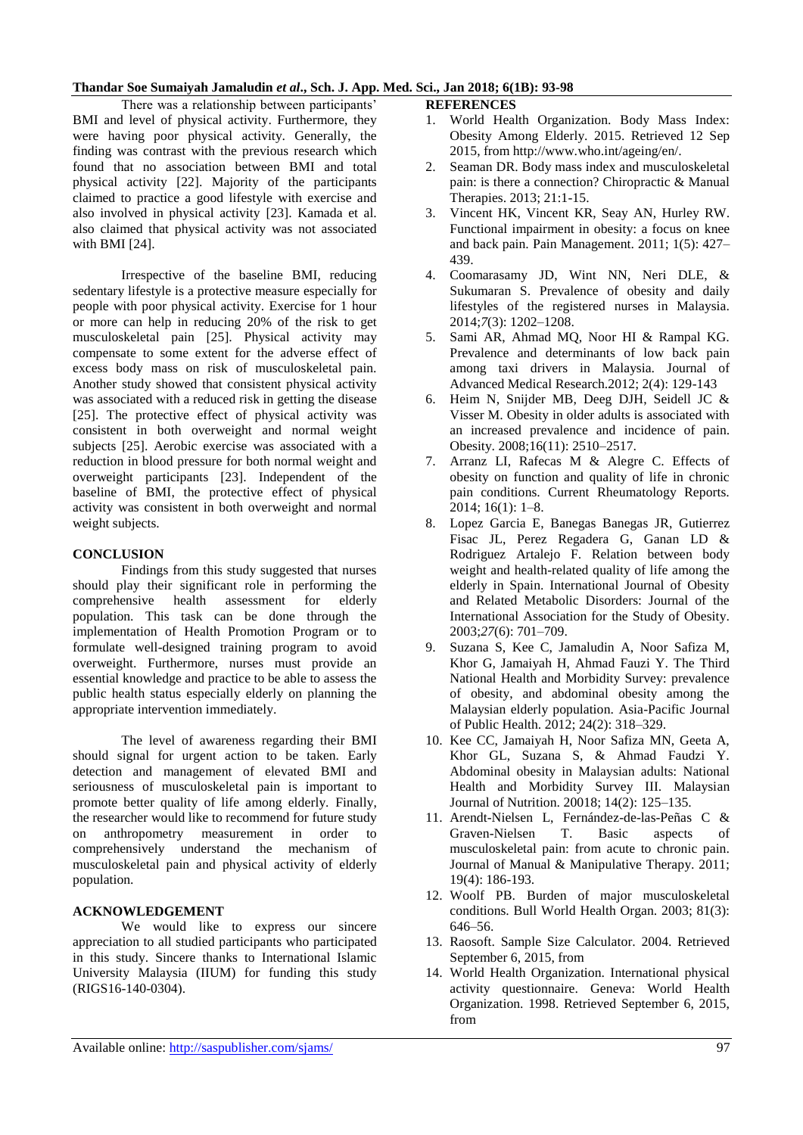## **Thandar Soe Sumaiyah Jamaludin** *et al***., Sch. J. App. Med. Sci., Jan 2018; 6(1B): 93-98**

There was a relationship between participants' BMI and level of physical activity. Furthermore, they were having poor physical activity. Generally, the finding was contrast with the previous research which found that no association between BMI and total physical activity [22]. Majority of the participants claimed to practice a good lifestyle with exercise and also involved in physical activity [23]. Kamada et al. also claimed that physical activity was not associated with BMI [24].

Irrespective of the baseline BMI, reducing sedentary lifestyle is a protective measure especially for people with poor physical activity. Exercise for 1 hour or more can help in reducing 20% of the risk to get musculoskeletal pain [25]. Physical activity may compensate to some extent for the adverse effect of excess body mass on risk of musculoskeletal pain. Another study showed that consistent physical activity was associated with a reduced risk in getting the disease [25]. The protective effect of physical activity was consistent in both overweight and normal weight subjects [25]. Aerobic exercise was associated with a reduction in blood pressure for both normal weight and overweight participants [23]. Independent of the baseline of BMI, the protective effect of physical activity was consistent in both overweight and normal weight subjects.

## **CONCLUSION**

Findings from this study suggested that nurses should play their significant role in performing the comprehensive health assessment for elderly population. This task can be done through the implementation of Health Promotion Program or to formulate well-designed training program to avoid overweight. Furthermore, nurses must provide an essential knowledge and practice to be able to assess the public health status especially elderly on planning the appropriate intervention immediately.

The level of awareness regarding their BMI should signal for urgent action to be taken. Early detection and management of elevated BMI and seriousness of musculoskeletal pain is important to promote better quality of life among elderly. Finally, the researcher would like to recommend for future study on anthropometry measurement in order to comprehensively understand the mechanism of musculoskeletal pain and physical activity of elderly population.

## **ACKNOWLEDGEMENT**

We would like to express our sincere appreciation to all studied participants who participated in this study. Sincere thanks to International Islamic University Malaysia (IIUM) for funding this study (RIGS16-140-0304).

## **REFERENCES**

- 1. World Health Organization. Body Mass Index: Obesity Among Elderly. 2015. Retrieved 12 Sep 2015, from http://www.who.int/ageing/en/.
- 2. Seaman DR. Body mass index and musculoskeletal pain: is there a connection? Chiropractic & Manual Therapies. 2013; 21:1-15.
- 3. Vincent HK, Vincent KR, Seay AN, Hurley RW. Functional impairment in obesity: a focus on knee and back pain. Pain Management. 2011; 1(5): 427– 439.
- 4. Coomarasamy JD, Wint NN, Neri DLE, & Sukumaran S. Prevalence of obesity and daily lifestyles of the registered nurses in Malaysia. 2014;*7*(3): 1202–1208.
- 5. Sami AR, Ahmad MQ, Noor HI & Rampal KG. Prevalence and determinants of low back pain among taxi drivers in Malaysia. Journal of Advanced Medical Research.2012; 2(4): 129-143
- 6. Heim N, Snijder MB, Deeg DJH, Seidell JC & Visser M. Obesity in older adults is associated with an increased prevalence and incidence of pain. Obesity. 2008;16(11): 2510–2517.
- 7. Arranz LI, Rafecas M & Alegre C. Effects of obesity on function and quality of life in chronic pain conditions. Current Rheumatology Reports. 2014; 16(1): 1–8.
- 8. Lopez Garcia E, Banegas Banegas JR, Gutierrez Fisac JL, Perez Regadera G, Ganan LD & Rodriguez Artalejo F. Relation between body weight and health-related quality of life among the elderly in Spain. International Journal of Obesity and Related Metabolic Disorders: Journal of the International Association for the Study of Obesity. 2003;*27*(6): 701–709.
- 9. Suzana S, Kee C, Jamaludin A, Noor Safiza M, Khor G, Jamaiyah H, Ahmad Fauzi Y. The Third National Health and Morbidity Survey: prevalence of obesity, and abdominal obesity among the Malaysian elderly population. Asia-Pacific Journal of Public Health. 2012; 24(2): 318–329.
- 10. Kee CC, Jamaiyah H, Noor Safiza MN, Geeta A, Khor GL, Suzana S, & Ahmad Faudzi Y. Abdominal obesity in Malaysian adults: National Health and Morbidity Survey III. Malaysian Journal of Nutrition. 20018; 14(2): 125–135.
- 11. Arendt-Nielsen L, Fernández-de-las-Peñas C & Graven-Nielsen T. Basic aspects of musculoskeletal pain: from acute to chronic pain. Journal of Manual & Manipulative Therapy. 2011; 19(4): 186-193.
- 12. Woolf PB. Burden of major musculoskeletal conditions. Bull World Health Organ. 2003; 81(3): 646–56.
- 13. Raosoft. Sample Size Calculator. 2004. Retrieved September 6, 2015, from
- 14. World Health Organization. International physical activity questionnaire. Geneva: World Health Organization. 1998. Retrieved September 6, 2015, from